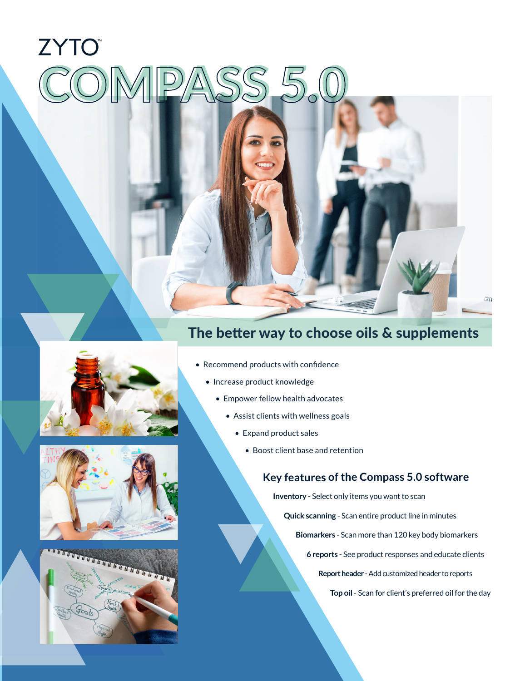# **ZYTO** PASS 5.

## The better way to choose oils & supplements







- Recommend products with confidence
	- Increase product knowledge
		- Empower fellow health advocates
			- Assist clients with wellness goals
				- Expand product sales
					- Boost client base and retention

#### **Key features of the Compass 5.0 software**

**Inventory** - Select only items you want to scan

**Quick scanning** - Scan entire product line in minutes

**Biomarkers** - Scan more than 120 key body biomarkers

**6 reports** - See product responses and educate clients

**Report header** - Add customized header to reports

**Top oil** - Scan for client's preferred oil for the day

 $\infty$